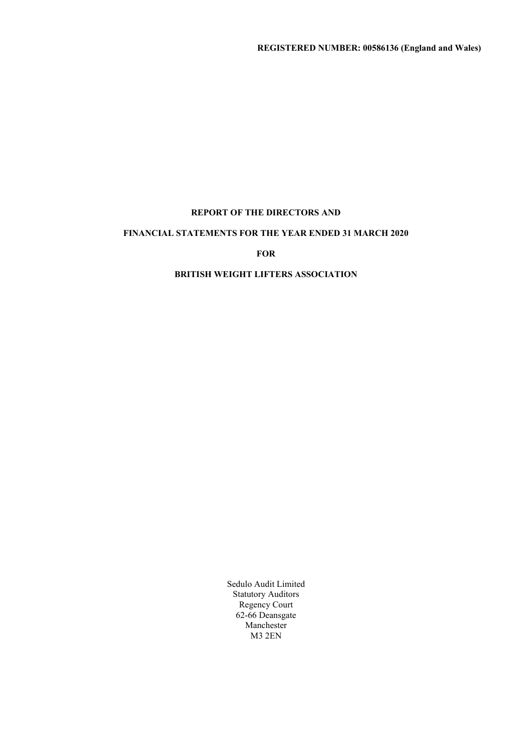# **REPORT OF THE DIRECTORS AND**

# **FINANCIAL STATEMENTS FOR THE YEAR ENDED 31 MARCH 2020**

**FOR** 

## **BRITISH WEIGHT LIFTERS ASSOCIATION**

Sedulo Audit Limited Statutory Auditors Regency Court 62-66 Deansgate Manchester M3 2EN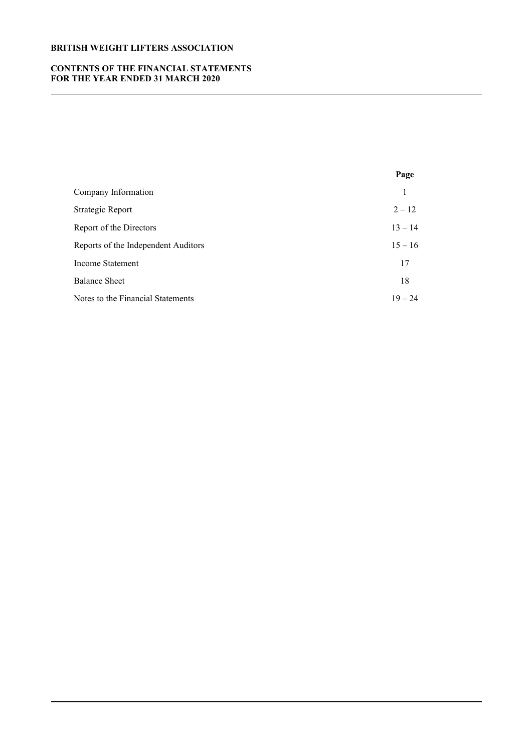# **CONTENTS OF THE FINANCIAL STATEMENTS FOR THE YEAR ENDED 31 MARCH 2020**

|                                     | Page      |
|-------------------------------------|-----------|
| Company Information                 | 1         |
| Strategic Report                    | $2 - 12$  |
| Report of the Directors             | $13 - 14$ |
| Reports of the Independent Auditors | $15 - 16$ |
| Income Statement                    | 17        |
| <b>Balance Sheet</b>                | 18        |
| Notes to the Financial Statements   | $19 - 24$ |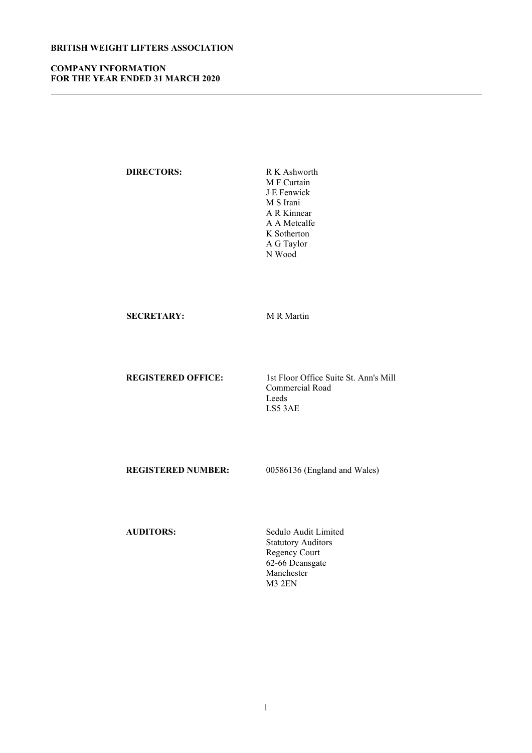# **COMPANY INFORMATION FOR THE YEAR ENDED 31 MARCH 2020**

# **DIRECTORS:** R K Ashworth

M F Curtain J E Fenwick M S Irani A R Kinnear A A Metcalfe K Sotherton A G Taylor N Wood

## **SECRETARY:** M R Martin

**REGISTERED OFFICE:** 1st Floor Office Suite St. Ann's Mill Commercial Road Leeds LS5 3AE

**REGISTERED NUMBER:** 00586136 (England and Wales)

**AUDITORS:** Sedulo Audit Limited Statutory Auditors Regency Court 62-66 Deansgate Manchester M3 2EN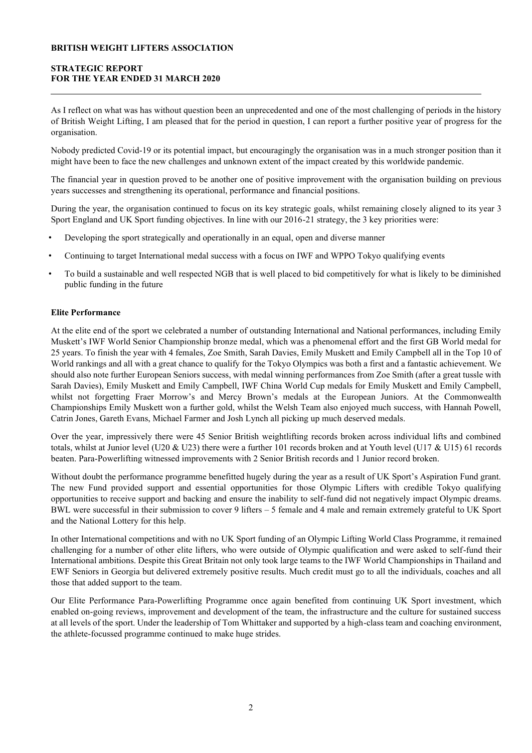# **STRATEGIC REPORT FOR THE YEAR ENDED 31 MARCH 2020**

As I reflect on what was has without question been an unprecedented and one of the most challenging of periods in the history of British Weight Lifting, I am pleased that for the period in question, I can report a further positive year of progress for the organisation.

Nobody predicted Covid-19 or its potential impact, but encouragingly the organisation was in a much stronger position than it might have been to face the new challenges and unknown extent of the impact created by this worldwide pandemic.

The financial year in question proved to be another one of positive improvement with the organisation building on previous years successes and strengthening its operational, performance and financial positions.

During the year, the organisation continued to focus on its key strategic goals, whilst remaining closely aligned to its year 3 Sport England and UK Sport funding objectives. In line with our 2016-21 strategy, the 3 key priorities were:

- Developing the sport strategically and operationally in an equal, open and diverse manner
- Continuing to target International medal success with a focus on IWF and WPPO Tokyo qualifying events
- To build a sustainable and well respected NGB that is well placed to bid competitively for what is likely to be diminished public funding in the future

## **Elite Performance**

At the elite end of the sport we celebrated a number of outstanding International and National performances, including Emily Muskett's IWF World Senior Championship bronze medal, which was a phenomenal effort and the first GB World medal for 25 years. To finish the year with 4 females, Zoe Smith, Sarah Davies, Emily Muskett and Emily Campbell all in the Top 10 of World rankings and all with a great chance to qualify for the Tokyo Olympics was both a first and a fantastic achievement. We should also note further European Seniors success, with medal winning performances from Zoe Smith (after a great tussle with Sarah Davies), Emily Muskett and Emily Campbell, IWF China World Cup medals for Emily Muskett and Emily Campbell, whilst not forgetting Fraer Morrow's and Mercy Brown's medals at the European Juniors. At the Commonwealth Championships Emily Muskett won a further gold, whilst the Welsh Team also enjoyed much success, with Hannah Powell, Catrin Jones, Gareth Evans, Michael Farmer and Josh Lynch all picking up much deserved medals.

Over the year, impressively there were 45 Senior British weightlifting records broken across individual lifts and combined totals, whilst at Junior level (U20 & U23) there were a further 101 records broken and at Youth level (U17 & U15) 61 records beaten. Para-Powerlifting witnessed improvements with 2 Senior British records and 1 Junior record broken.

Without doubt the performance programme benefitted hugely during the year as a result of UK Sport's Aspiration Fund grant. The new Fund provided support and essential opportunities for those Olympic Lifters with credible Tokyo qualifying opportunities to receive support and backing and ensure the inability to self-fund did not negatively impact Olympic dreams. BWL were successful in their submission to cover 9 lifters – 5 female and 4 male and remain extremely grateful to UK Sport and the National Lottery for this help.

In other International competitions and with no UK Sport funding of an Olympic Lifting World Class Programme, it remained challenging for a number of other elite lifters, who were outside of Olympic qualification and were asked to self-fund their International ambitions. Despite this Great Britain not only took large teams to the IWF World Championships in Thailand and EWF Seniors in Georgia but delivered extremely positive results. Much credit must go to all the individuals, coaches and all those that added support to the team.

Our Elite Performance Para-Powerlifting Programme once again benefited from continuing UK Sport investment, which enabled on-going reviews, improvement and development of the team, the infrastructure and the culture for sustained success at all levels of the sport. Under the leadership of Tom Whittaker and supported by a high-class team and coaching environment, the athlete-focussed programme continued to make huge strides.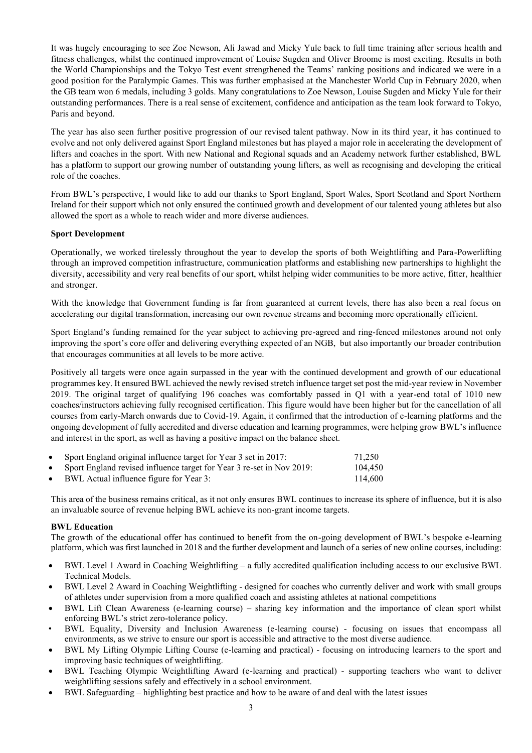It was hugely encouraging to see Zoe Newson, Ali Jawad and Micky Yule back to full time training after serious health and fitness challenges, whilst the continued improvement of Louise Sugden and Oliver Broome is most exciting. Results in both the World Championships and the Tokyo Test event strengthened the Teams' ranking positions and indicated we were in a good position for the Paralympic Games. This was further emphasised at the Manchester World Cup in February 2020, when the GB team won 6 medals, including 3 golds. Many congratulations to Zoe Newson, Louise Sugden and Micky Yule for their outstanding performances. There is a real sense of excitement, confidence and anticipation as the team look forward to Tokyo, Paris and beyond.

The year has also seen further positive progression of our revised talent pathway. Now in its third year, it has continued to evolve and not only delivered against Sport England milestones but has played a major role in accelerating the development of lifters and coaches in the sport. With new National and Regional squads and an Academy network further established, BWL has a platform to support our growing number of outstanding young lifters, as well as recognising and developing the critical role of the coaches.

From BWL's perspective, I would like to add our thanks to Sport England, Sport Wales, Sport Scotland and Sport Northern Ireland for their support which not only ensured the continued growth and development of our talented young athletes but also allowed the sport as a whole to reach wider and more diverse audiences.

# **Sport Development**

Operationally, we worked tirelessly throughout the year to develop the sports of both Weightlifting and Para-Powerlifting through an improved competition infrastructure, communication platforms and establishing new partnerships to highlight the diversity, accessibility and very real benefits of our sport, whilst helping wider communities to be more active, fitter, healthier and stronger.

With the knowledge that Government funding is far from guaranteed at current levels, there has also been a real focus on accelerating our digital transformation, increasing our own revenue streams and becoming more operationally efficient.

Sport England's funding remained for the year subject to achieving pre-agreed and ring-fenced milestones around not only improving the sport's core offer and delivering everything expected of an NGB, but also importantly our broader contribution that encourages communities at all levels to be more active.

Positively all targets were once again surpassed in the year with the continued development and growth of our educational programmes key. It ensured BWL achieved the newly revised stretch influence target set post the mid-year review in November 2019. The original target of qualifying 196 coaches was comfortably passed in Q1 with a year-end total of 1010 new coaches/instructors achieving fully recognised certification. This figure would have been higher but for the cancellation of all courses from early-March onwards due to Covid-19. Again, it confirmed that the introduction of e-learning platforms and the ongoing development of fully accredited and diverse education and learning programmes, were helping grow BWL's influence and interest in the sport, as well as having a positive impact on the balance sheet.

| Sport England original influence target for Year 3 set in 2017:       | 71.250  |
|-----------------------------------------------------------------------|---------|
| Sport England revised influence target for Year 3 re-set in Nov 2019: | 104.450 |
| BWL Actual influence figure for Year 3:                               | 114.600 |

This area of the business remains critical, as it not only ensures BWL continues to increase its sphere of influence, but it is also an invaluable source of revenue helping BWL achieve its non-grant income targets.

# **BWL Education**

The growth of the educational offer has continued to benefit from the on-going development of BWL's bespoke e-learning platform, which was first launched in 2018 and the further development and launch of a series of new online courses, including:

- BWL Level 1 Award in Coaching Weightlifting a fully accredited qualification including access to our exclusive BWL Technical Models.
- BWL Level 2 Award in Coaching Weightlifting designed for coaches who currently deliver and work with small groups of athletes under supervision from a more qualified coach and assisting athletes at national competitions
- BWL Lift Clean Awareness (e-learning course) sharing key information and the importance of clean sport whilst enforcing BWL's strict zero-tolerance policy.
- BWL Equality, Diversity and Inclusion Awareness (e-learning course) focusing on issues that encompass all environments, as we strive to ensure our sport is accessible and attractive to the most diverse audience.
- BWL My Lifting Olympic Lifting Course (e-learning and practical) focusing on introducing learners to the sport and improving basic techniques of weightlifting.
- BWL Teaching Olympic Weightlifting Award (e-learning and practical) supporting teachers who want to deliver weightlifting sessions safely and effectively in a school environment.
- BWL Safeguarding highlighting best practice and how to be aware of and deal with the latest issues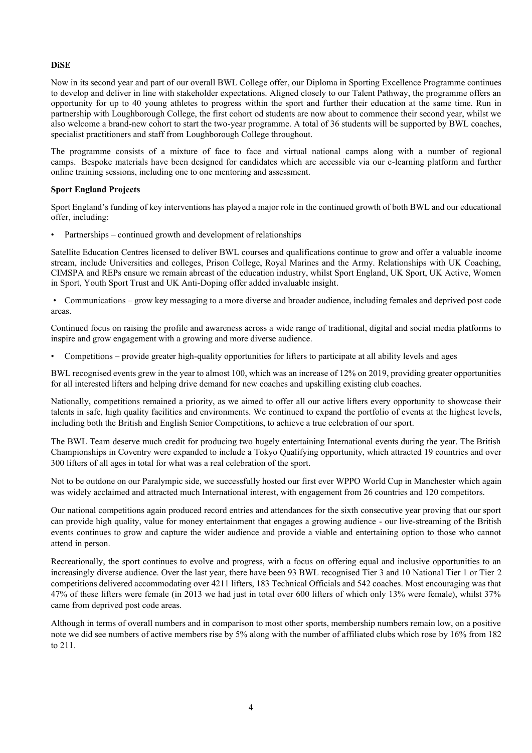# **DiSE**

Now in its second year and part of our overall BWL College offer, our Diploma in Sporting Excellence Programme continues to develop and deliver in line with stakeholder expectations. Aligned closely to our Talent Pathway, the programme offers an opportunity for up to 40 young athletes to progress within the sport and further their education at the same time. Run in partnership with Loughborough College, the first cohort od students are now about to commence their second year, whilst we also welcome a brand-new cohort to start the two-year programme. A total of 36 students will be supported by BWL coaches, specialist practitioners and staff from Loughborough College throughout.

The programme consists of a mixture of face to face and virtual national camps along with a number of regional camps. Bespoke materials have been designed for candidates which are accessible via our e-learning platform and further online training sessions, including one to one mentoring and assessment.

## **Sport England Projects**

Sport England's funding of key interventions has played a major role in the continued growth of both BWL and our educational offer, including:

• Partnerships – continued growth and development of relationships

Satellite Education Centres licensed to deliver BWL courses and qualifications continue to grow and offer a valuable income stream, include Universities and colleges, Prison College, Royal Marines and the Army. Relationships with UK Coaching, CIMSPA and REPs ensure we remain abreast of the education industry, whilst Sport England, UK Sport, UK Active, Women in Sport, Youth Sport Trust and UK Anti-Doping offer added invaluable insight.

• Communications – grow key messaging to a more diverse and broader audience, including females and deprived post code areas.

Continued focus on raising the profile and awareness across a wide range of traditional, digital and social media platforms to inspire and grow engagement with a growing and more diverse audience.

• Competitions – provide greater high-quality opportunities for lifters to participate at all ability levels and ages

BWL recognised events grew in the year to almost 100, which was an increase of 12% on 2019, providing greater opportunities for all interested lifters and helping drive demand for new coaches and upskilling existing club coaches.

Nationally, competitions remained a priority, as we aimed to offer all our active lifters every opportunity to showcase their talents in safe, high quality facilities and environments. We continued to expand the portfolio of events at the highest levels, including both the British and English Senior Competitions, to achieve a true celebration of our sport.

The BWL Team deserve much credit for producing two hugely entertaining International events during the year. The British Championships in Coventry were expanded to include a Tokyo Qualifying opportunity, which attracted 19 countries and over 300 lifters of all ages in total for what was a real celebration of the sport.

Not to be outdone on our Paralympic side, we successfully hosted our first ever WPPO World Cup in Manchester which again was widely acclaimed and attracted much International interest, with engagement from 26 countries and 120 competitors.

Our national competitions again produced record entries and attendances for the sixth consecutive year proving that our sport can provide high quality, value for money entertainment that engages a growing audience - our live-streaming of the British events continues to grow and capture the wider audience and provide a viable and entertaining option to those who cannot attend in person.

Recreationally, the sport continues to evolve and progress, with a focus on offering equal and inclusive opportunities to an increasingly diverse audience. Over the last year, there have been 93 BWL recognised Tier 3 and 10 National Tier 1 or Tier 2 competitions delivered accommodating over 4211 lifters, 183 Technical Officials and 542 coaches. Most encouraging was that 47% of these lifters were female (in 2013 we had just in total over 600 lifters of which only 13% were female), whilst 37% came from deprived post code areas.

Although in terms of overall numbers and in comparison to most other sports, membership numbers remain low, on a positive note we did see numbers of active members rise by 5% along with the number of affiliated clubs which rose by 16% from 182 to 211.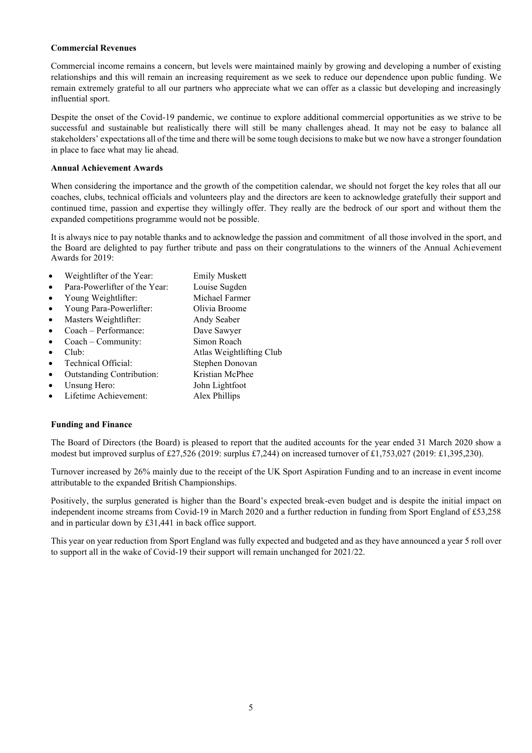### **Commercial Revenues**

Commercial income remains a concern, but levels were maintained mainly by growing and developing a number of existing relationships and this will remain an increasing requirement as we seek to reduce our dependence upon public funding. We remain extremely grateful to all our partners who appreciate what we can offer as a classic but developing and increasingly influential sport.

Despite the onset of the Covid-19 pandemic, we continue to explore additional commercial opportunities as we strive to be successful and sustainable but realistically there will still be many challenges ahead. It may not be easy to balance all stakeholders' expectations all of the time and there will be some tough decisions to make but we now have a stronger foundation in place to face what may lie ahead.

## **Annual Achievement Awards**

When considering the importance and the growth of the competition calendar, we should not forget the key roles that all our coaches, clubs, technical officials and volunteers play and the directors are keen to acknowledge gratefully their support and continued time, passion and expertise they willingly offer. They really are the bedrock of our sport and without them the expanded competitions programme would not be possible.

It is always nice to pay notable thanks and to acknowledge the passion and commitment of all those involved in the sport, and the Board are delighted to pay further tribute and pass on their congratulations to the winners of the Annual Achievement Awards for 2019:

- Weightlifter of the Year: Emily Muskett
- Para-Powerlifter of the Year: Louise Sugden
- Young Weightlifter: Michael Farmer
- Young Para-Powerlifter: Olivia Broome
- Masters Weightlifter: Andy Seaber
- Coach Performance: Dave Sawyer
- Coach Community: Simon Roach
- Club: Atlas Weightlifting Club
- Technical Official: Stephen Donovan
- Outstanding Contribution: Kristian McPhee
- Unsung Hero: John Lightfoot
- Lifetime Achievement: Alex Phillips

## **Funding and Finance**

The Board of Directors (the Board) is pleased to report that the audited accounts for the year ended 31 March 2020 show a modest but improved surplus of £27,526 (2019: surplus £7,244) on increased turnover of £1,753,027 (2019: £1,395,230).

Turnover increased by 26% mainly due to the receipt of the UK Sport Aspiration Funding and to an increase in event income attributable to the expanded British Championships.

Positively, the surplus generated is higher than the Board's expected break-even budget and is despite the initial impact on independent income streams from Covid-19 in March 2020 and a further reduction in funding from Sport England of £53,258 and in particular down by £31,441 in back office support.

This year on year reduction from Sport England was fully expected and budgeted and as they have announced a year 5 roll over to support all in the wake of Covid-19 their support will remain unchanged for 2021/22.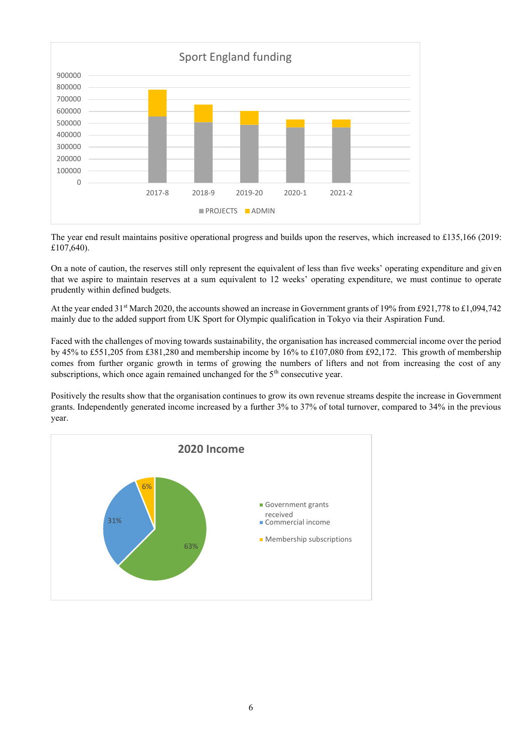

The year end result maintains positive operational progress and builds upon the reserves, which increased to £135,166 (2019: £107,640).

On a note of caution, the reserves still only represent the equivalent of less than five weeks' operating expenditure and given that we aspire to maintain reserves at a sum equivalent to 12 weeks' operating expenditure, we must continue to operate prudently within defined budgets.

At the year ended 31<sup>st</sup> March 2020, the accounts showed an increase in Government grants of 19% from £921,778 to £1,094,742 mainly due to the added support from UK Sport for Olympic qualification in Tokyo via their Aspiration Fund.

Faced with the challenges of moving towards sustainability, the organisation has increased commercial income over the period by 45% to £551,205 from £381,280 and membership income by 16% to £107,080 from £92,172. This growth of membership comes from further organic growth in terms of growing the numbers of lifters and not from increasing the cost of any subscriptions, which once again remained unchanged for the  $5<sup>th</sup>$  consecutive year.

Positively the results show that the organisation continues to grow its own revenue streams despite the increase in Government grants. Independently generated income increased by a further 3% to 37% of total turnover, compared to 34% in the previous year.

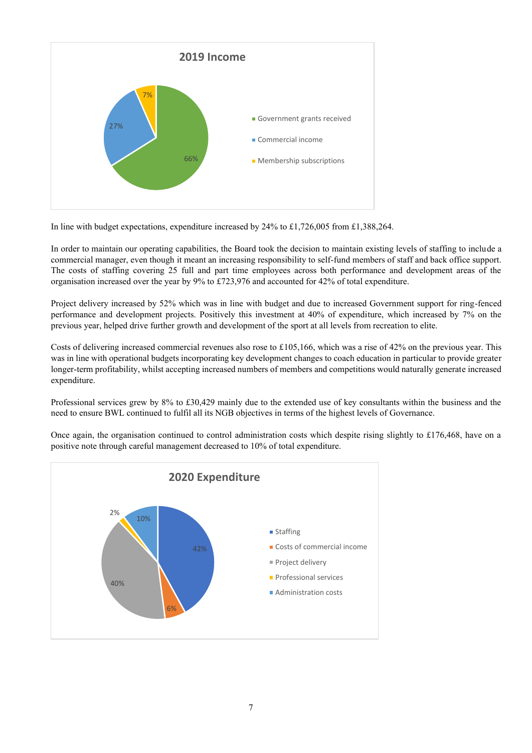

In line with budget expectations, expenditure increased by 24% to £1,726,005 from £1,388,264.

In order to maintain our operating capabilities, the Board took the decision to maintain existing levels of staffing to include a commercial manager, even though it meant an increasing responsibility to self-fund members of staff and back office support. The costs of staffing covering 25 full and part time employees across both performance and development areas of the organisation increased over the year by 9% to £723,976 and accounted for 42% of total expenditure.

Project delivery increased by 52% which was in line with budget and due to increased Government support for ring-fenced performance and development projects. Positively this investment at 40% of expenditure, which increased by 7% on the previous year, helped drive further growth and development of the sport at all levels from recreation to elite.

Costs of delivering increased commercial revenues also rose to £105,166, which was a rise of 42% on the previous year. This was in line with operational budgets incorporating key development changes to coach education in particular to provide greater longer-term profitability, whilst accepting increased numbers of members and competitions would naturally generate increased expenditure.

Professional services grew by 8% to £30,429 mainly due to the extended use of key consultants within the business and the need to ensure BWL continued to fulfil all its NGB objectives in terms of the highest levels of Governance.

Once again, the organisation continued to control administration costs which despite rising slightly to £176,468, have on a positive note through careful management decreased to 10% of total expenditure.

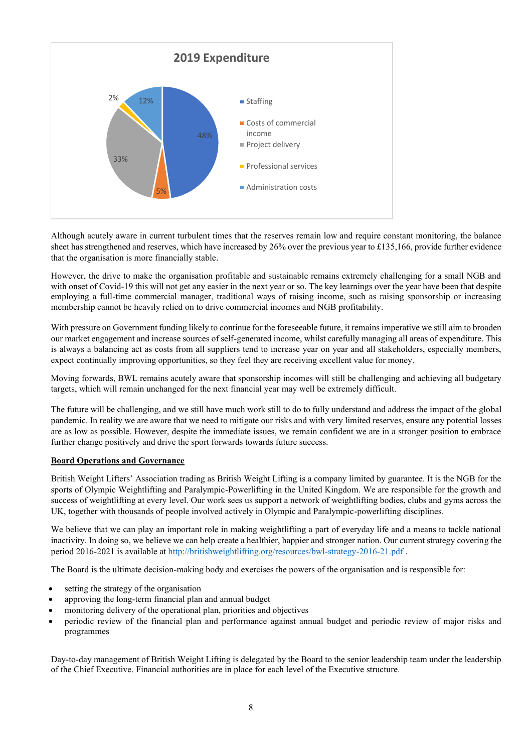

Although acutely aware in current turbulent times that the reserves remain low and require constant monitoring, the balance sheet has strengthened and reserves, which have increased by 26% over the previous year to £135,166, provide further evidence that the organisation is more financially stable.

However, the drive to make the organisation profitable and sustainable remains extremely challenging for a small NGB and with onset of Covid-19 this will not get any easier in the next year or so. The key learnings over the year have been that despite employing a full-time commercial manager, traditional ways of raising income, such as raising sponsorship or increasing membership cannot be heavily relied on to drive commercial incomes and NGB profitability.

With pressure on Government funding likely to continue for the foreseeable future, it remains imperative we still aim to broaden our market engagement and increase sources of self-generated income, whilst carefully managing all areas of expenditure. This is always a balancing act as costs from all suppliers tend to increase year on year and all stakeholders, especially members, expect continually improving opportunities, so they feel they are receiving excellent value for money.

Moving forwards, BWL remains acutely aware that sponsorship incomes will still be challenging and achieving all budgetary targets, which will remain unchanged for the next financial year may well be extremely difficult.

The future will be challenging, and we still have much work still to do to fully understand and address the impact of the global pandemic. In reality we are aware that we need to mitigate our risks and with very limited reserves, ensure any potential losses are as low as possible. However, despite the immediate issues, we remain confident we are in a stronger position to embrace further change positively and drive the sport forwards towards future success.

# **Board Operations and Governance**

British Weight Lifters' Association trading as British Weight Lifting is a company limited by guarantee. It is the NGB for the sports of Olympic Weightlifting and Paralympic-Powerlifting in the United Kingdom. We are responsible for the growth and success of weightlifting at every level. Our work sees us support a network of weightlifting bodies, clubs and gyms across the UK, together with thousands of people involved actively in Olympic and Paralympic-powerlifting disciplines.

We believe that we can play an important role in making weightlifting a part of everyday life and a means to tackle national inactivity. In doing so, we believe we can help create a healthier, happier and stronger nation. Our current strategy covering the period 2016-2021 is available at<http://britishweightlifting.org/resources/bwl-strategy-2016-21.pdf>.

The Board is the ultimate decision-making body and exercises the powers of the organisation and is responsible for:

- setting the strategy of the organisation
- approving the long-term financial plan and annual budget
- monitoring delivery of the operational plan, priorities and objectives
- periodic review of the financial plan and performance against annual budget and periodic review of major risks and programmes

Day-to-day management of British Weight Lifting is delegated by the Board to the senior leadership team under the leadership of the Chief Executive. Financial authorities are in place for each level of the Executive structure.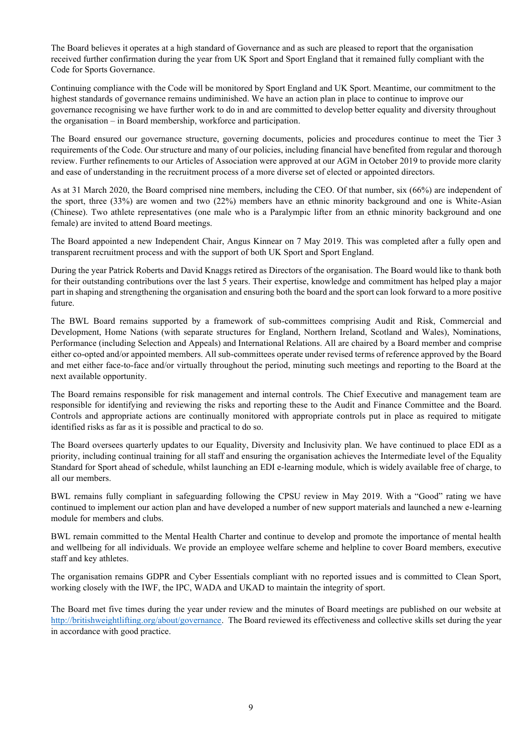The Board believes it operates at a high standard of Governance and as such are pleased to report that the organisation received further confirmation during the year from UK Sport and Sport England that it remained fully compliant with the Code for Sports Governance.

Continuing compliance with the Code will be monitored by Sport England and UK Sport. Meantime, our commitment to the highest standards of governance remains undiminished. We have an action plan in place to continue to improve our governance recognising we have further work to do in and are committed to develop better equality and diversity throughout the organisation – in Board membership, workforce and participation.

The Board ensured our governance structure, governing documents, policies and procedures continue to meet the Tier 3 requirements of the Code. Our structure and many of our policies, including financial have benefited from regular and thorough review. Further refinements to our Articles of Association were approved at our AGM in October 2019 to provide more clarity and ease of understanding in the recruitment process of a more diverse set of elected or appointed directors.

As at 31 March 2020, the Board comprised nine members, including the CEO. Of that number, six (66%) are independent of the sport, three (33%) are women and two (22%) members have an ethnic minority background and one is White-Asian (Chinese). Two athlete representatives (one male who is a Paralympic lifter from an ethnic minority background and one female) are invited to attend Board meetings.

The Board appointed a new Independent Chair, Angus Kinnear on 7 May 2019. This was completed after a fully open and transparent recruitment process and with the support of both UK Sport and Sport England.

During the year Patrick Roberts and David Knaggs retired as Directors of the organisation. The Board would like to thank both for their outstanding contributions over the last 5 years. Their expertise, knowledge and commitment has helped play a major part in shaping and strengthening the organisation and ensuring both the board and the sport can look forward to a more positive future.

The BWL Board remains supported by a framework of sub-committees comprising Audit and Risk, Commercial and Development, Home Nations (with separate structures for England, Northern Ireland, Scotland and Wales), Nominations, Performance (including Selection and Appeals) and International Relations. All are chaired by a Board member and comprise either co-opted and/or appointed members. All sub-committees operate under revised terms of reference approved by the Board and met either face-to-face and/or virtually throughout the period, minuting such meetings and reporting to the Board at the next available opportunity.

The Board remains responsible for risk management and internal controls. The Chief Executive and management team are responsible for identifying and reviewing the risks and reporting these to the Audit and Finance Committee and the Board. Controls and appropriate actions are continually monitored with appropriate controls put in place as required to mitigate identified risks as far as it is possible and practical to do so.

The Board oversees quarterly updates to our Equality, Diversity and Inclusivity plan. We have continued to place EDI as a priority, including continual training for all staff and ensuring the organisation achieves the Intermediate level of the Equality Standard for Sport ahead of schedule, whilst launching an EDI e-learning module, which is widely available free of charge, to all our members.

BWL remains fully compliant in safeguarding following the CPSU review in May 2019. With a "Good" rating we have continued to implement our action plan and have developed a number of new support materials and launched a new e-learning module for members and clubs.

BWL remain committed to the Mental Health Charter and continue to develop and promote the importance of mental health and wellbeing for all individuals. We provide an employee welfare scheme and helpline to cover Board members, executive staff and key athletes.

The organisation remains GDPR and Cyber Essentials compliant with no reported issues and is committed to Clean Sport, working closely with the IWF, the IPC, WADA and UKAD to maintain the integrity of sport.

The Board met five times during the year under review and the minutes of Board meetings are published on our website at [http://britishweightlifting.org/about/governance.](http://britishweightlifting.org/about/governance) The Board reviewed its effectiveness and collective skills set during the year in accordance with good practice.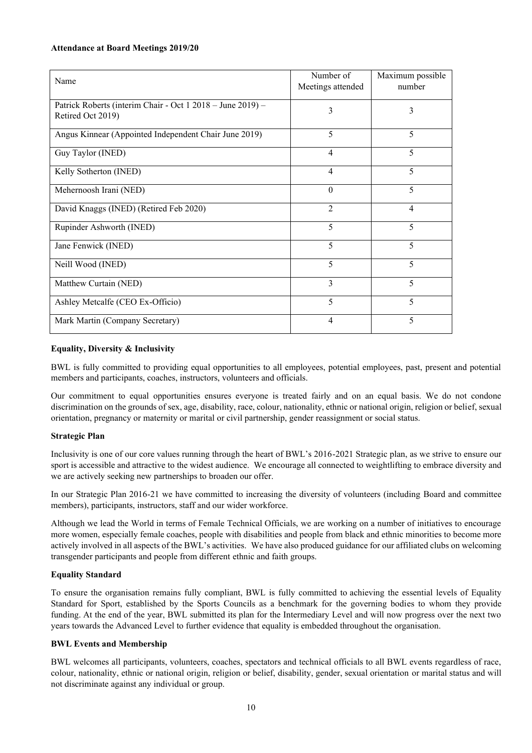## **Attendance at Board Meetings 2019/20**

| Name                                                                            | Number of<br>Meetings attended | Maximum possible<br>number |
|---------------------------------------------------------------------------------|--------------------------------|----------------------------|
| Patrick Roberts (interim Chair - Oct 1 2018 – June 2019) –<br>Retired Oct 2019) | 3                              | 3                          |
| Angus Kinnear (Appointed Independent Chair June 2019)                           | 5                              | 5                          |
| Guy Taylor (INED)                                                               | $\overline{4}$                 | 5                          |
| Kelly Sotherton (INED)                                                          | $\overline{4}$                 | 5                          |
| Mehernoosh Irani (NED)                                                          | $\boldsymbol{0}$               | 5                          |
| David Knaggs (INED) (Retired Feb 2020)                                          | 2                              | 4                          |
| Rupinder Ashworth (INED)                                                        | 5                              | 5                          |
| Jane Fenwick (INED)                                                             | 5                              | 5                          |
| Neill Wood (INED)                                                               | 5                              | 5                          |
| Matthew Curtain (NED)                                                           | 3                              | 5                          |
| Ashley Metcalfe (CEO Ex-Officio)                                                | 5                              | 5                          |
| Mark Martin (Company Secretary)                                                 | 4                              | 5                          |

# **Equality, Diversity & Inclusivity**

BWL is fully committed to providing equal opportunities to all employees, potential employees, past, present and potential members and participants, coaches, instructors, volunteers and officials.

Our commitment to equal opportunities ensures everyone is treated fairly and on an equal basis. We do not condone discrimination on the grounds of sex, age, disability, race, colour, nationality, ethnic or national origin, religion or belief, sexual orientation, pregnancy or maternity or marital or civil partnership, gender reassignment or social status.

## **Strategic Plan**

Inclusivity is one of our core values running through the heart of BWL's 2016-2021 Strategic plan, as we strive to ensure our sport is accessible and attractive to the widest audience. We encourage all connected to weightlifting to embrace diversity and we are actively seeking new partnerships to broaden our offer.

In our Strategic Plan 2016-21 we have committed to increasing the diversity of volunteers (including Board and committee members), participants, instructors, staff and our wider workforce.

Although we lead the World in terms of Female Technical Officials, we are working on a number of initiatives to encourage more women, especially female coaches, people with disabilities and people from black and ethnic minorities to become more actively involved in all aspects of the BWL's activities. We have also produced guidance for our affiliated clubs on welcoming transgender participants and people from different ethnic and faith groups.

## **Equality Standard**

To ensure the organisation remains fully compliant, BWL is fully committed to achieving the essential levels of Equality Standard for Sport, established by the Sports Councils as a benchmark for the governing bodies to whom they provide funding. At the end of the year, BWL submitted its plan for the Intermediary Level and will now progress over the next two years towards the Advanced Level to further evidence that equality is embedded throughout the organisation.

## **BWL Events and Membership**

BWL welcomes all participants, volunteers, coaches, spectators and technical officials to all BWL events regardless of race, colour, nationality, ethnic or national origin, religion or belief, disability, gender, sexual orientation or marital status and will not discriminate against any individual or group.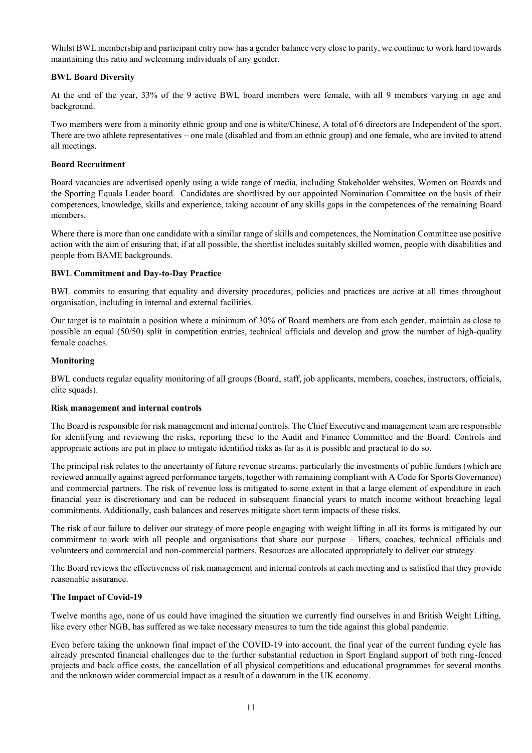Whilst BWL membership and participant entry now has a gender balance very close to parity, we continue to work hard towards maintaining this ratio and welcoming individuals of any gender.

# **BWL Board Diversity**

At the end of the year, 33% of the 9 active BWL board members were female, with all 9 members varying in age and background.

Two members were from a minority ethnic group and one is white/Chinese, A total of 6 directors are Independent of the sport. There are two athlete representatives – one male (disabled and from an ethnic group) and one female, who are invited to attend all meetings.

# **Board Recruitment**

Board vacancies are advertised openly using a wide range of media, including Stakeholder websites, Women on Boards and the Sporting Equals Leader board. Candidates are shortlisted by our appointed Nomination Committee on the basis of their competences, knowledge, skills and experience, taking account of any skills gaps in the competences of the remaining Board members.

Where there is more than one candidate with a similar range of skills and competences, the Nomination Committee use positive action with the aim of ensuring that, if at all possible, the shortlist includes suitably skilled women, people with disabilities and people from BAME backgrounds.

# **BWL Commitment and Day-to-Day Practice**

BWL commits to ensuring that equality and diversity procedures, policies and practices are active at all times throughout organisation, including in internal and external facilities.

Our target is to maintain a position where a minimum of 30% of Board members are from each gender, maintain as close to possible an equal (50/50) split in competition entries, technical officials and develop and grow the number of high-quality female coaches.

## **Monitoring**

BWL conducts regular equality monitoring of all groups (Board, staff, job applicants, members, coaches, instructors, officials, elite squads).

## **Risk management and internal controls**

The Board is responsible for risk management and internal controls. The Chief Executive and management team are responsible for identifying and reviewing the risks, reporting these to the Audit and Finance Committee and the Board. Controls and appropriate actions are put in place to mitigate identified risks as far as it is possible and practical to do so.

The principal risk relates to the uncertainty of future revenue streams, particularly the investments of public funders (which are reviewed annually against agreed performance targets, together with remaining compliant with A Code for Sports Governance) and commercial partners. The risk of revenue loss is mitigated to some extent in that a large element of expenditure in each financial year is discretionary and can be reduced in subsequent financial years to match income without breaching legal commitments. Additionally, cash balances and reserves mitigate short term impacts of these risks.

The risk of our failure to deliver our strategy of more people engaging with weight lifting in all its forms is mitigated by our commitment to work with all people and organisations that share our purpose – lifters, coaches, technical officials and volunteers and commercial and non-commercial partners. Resources are allocated appropriately to deliver our strategy.

The Board reviews the effectiveness of risk management and internal controls at each meeting and is satisfied that they provide reasonable assurance.

## **The Impact of Covid-19**

Twelve months ago, none of us could have imagined the situation we currently find ourselves in and British Weight Lifting, like every other NGB, has suffered as we take necessary measures to turn the tide against this global pandemic.

Even before taking the unknown final impact of the COVID-19 into account, the final year of the current funding cycle has already presented financial challenges due to the further substantial reduction in Sport England support of both ring-fenced projects and back office costs, the cancellation of all physical competitions and educational programmes for several months and the unknown wider commercial impact as a result of a downturn in the UK economy.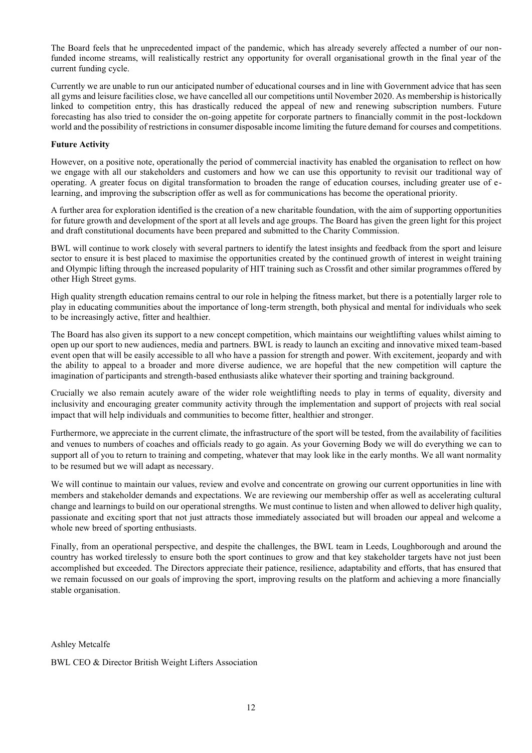The Board feels that he unprecedented impact of the pandemic, which has already severely affected a number of our nonfunded income streams, will realistically restrict any opportunity for overall organisational growth in the final year of the current funding cycle.

Currently we are unable to run our anticipated number of educational courses and in line with Government advice that has seen all gyms and leisure facilities close, we have cancelled all our competitions until November 2020. As membership is historically linked to competition entry, this has drastically reduced the appeal of new and renewing subscription numbers. Future forecasting has also tried to consider the on-going appetite for corporate partners to financially commit in the post-lockdown world and the possibility of restrictions in consumer disposable income limiting the future demand for courses and competitions.

# **Future Activity**

However, on a positive note, operationally the period of commercial inactivity has enabled the organisation to reflect on how we engage with all our stakeholders and customers and how we can use this opportunity to revisit our traditional way of operating. A greater focus on digital transformation to broaden the range of education courses, including greater use of elearning, and improving the subscription offer as well as for communications has become the operational priority.

A further area for exploration identified is the creation of a new charitable foundation, with the aim of supporting opportunities for future growth and development of the sport at all levels and age groups. The Board has given the green light for this project and draft constitutional documents have been prepared and submitted to the Charity Commission.

BWL will continue to work closely with several partners to identify the latest insights and feedback from the sport and leisure sector to ensure it is best placed to maximise the opportunities created by the continued growth of interest in weight training and Olympic lifting through the increased popularity of HIT training such as Crossfit and other similar programmes offered by other High Street gyms.

High quality strength education remains central to our role in helping the fitness market, but there is a potentially larger role to play in educating communities about the importance of long-term strength, both physical and mental for individuals who seek to be increasingly active, fitter and healthier.

The Board has also given its support to a new concept competition, which maintains our weightlifting values whilst aiming to open up our sport to new audiences, media and partners. BWL is ready to launch an exciting and innovative mixed team-based event open that will be easily accessible to all who have a passion for strength and power. With excitement, jeopardy and with the ability to appeal to a broader and more diverse audience, we are hopeful that the new competition will capture the imagination of participants and strength-based enthusiasts alike whatever their sporting and training background.

Crucially we also remain acutely aware of the wider role weightlifting needs to play in terms of equality, diversity and inclusivity and encouraging greater community activity through the implementation and support of projects with real social impact that will help individuals and communities to become fitter, healthier and stronger.

Furthermore, we appreciate in the current climate, the infrastructure of the sport will be tested, from the availability of facilities and venues to numbers of coaches and officials ready to go again. As your Governing Body we will do everything we can to support all of you to return to training and competing, whatever that may look like in the early months. We all want normality to be resumed but we will adapt as necessary.

We will continue to maintain our values, review and evolve and concentrate on growing our current opportunities in line with members and stakeholder demands and expectations. We are reviewing our membership offer as well as accelerating cultural change and learnings to build on our operational strengths. We must continue to listen and when allowed to deliver high quality, passionate and exciting sport that not just attracts those immediately associated but will broaden our appeal and welcome a whole new breed of sporting enthusiasts.

Finally, from an operational perspective, and despite the challenges, the BWL team in Leeds, Loughborough and around the country has worked tirelessly to ensure both the sport continues to grow and that key stakeholder targets have not just been accomplished but exceeded. The Directors appreciate their patience, resilience, adaptability and efforts, that has ensured that we remain focussed on our goals of improving the sport, improving results on the platform and achieving a more financially stable organisation.

Ashley Metcalfe

BWL CEO & Director British Weight Lifters Association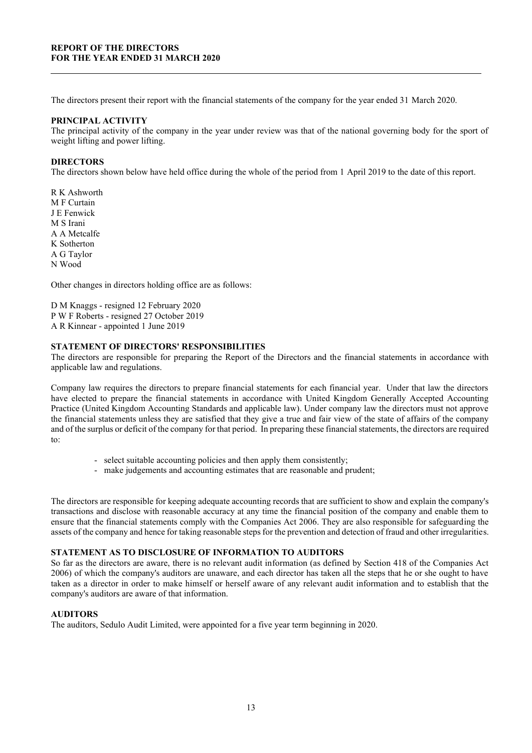#### **REPORT OF THE DIRECTORS FOR THE YEAR ENDED 31 MARCH 2020**

The directors present their report with the financial statements of the company for the year ended 31 March 2020.

## **PRINCIPAL ACTIVITY**

The principal activity of the company in the year under review was that of the national governing body for the sport of weight lifting and power lifting.

### **DIRECTORS**

The directors shown below have held office during the whole of the period from 1 April 2019 to the date of this report.

R K Ashworth M F Curtain J E Fenwick M S Irani A A Metcalfe K Sotherton A G Taylor N Wood

Other changes in directors holding office are as follows:

D M Knaggs - resigned 12 February 2020 P W F Roberts - resigned 27 October 2019 A R Kinnear - appointed 1 June 2019

# **STATEMENT OF DIRECTORS' RESPONSIBILITIES**

The directors are responsible for preparing the Report of the Directors and the financial statements in accordance with applicable law and regulations.

Company law requires the directors to prepare financial statements for each financial year. Under that law the directors have elected to prepare the financial statements in accordance with United Kingdom Generally Accepted Accounting Practice (United Kingdom Accounting Standards and applicable law). Under company law the directors must not approve the financial statements unless they are satisfied that they give a true and fair view of the state of affairs of the company and of the surplus or deficit of the company for that period. In preparing these financial statements, the directors are required to:

- select suitable accounting policies and then apply them consistently;
- make judgements and accounting estimates that are reasonable and prudent;

The directors are responsible for keeping adequate accounting records that are sufficient to show and explain the company's transactions and disclose with reasonable accuracy at any time the financial position of the company and enable them to ensure that the financial statements comply with the Companies Act 2006. They are also responsible for safeguarding the assets of the company and hence for taking reasonable steps for the prevention and detection of fraud and other irregularities.

## **STATEMENT AS TO DISCLOSURE OF INFORMATION TO AUDITORS**

So far as the directors are aware, there is no relevant audit information (as defined by Section 418 of the Companies Act 2006) of which the company's auditors are unaware, and each director has taken all the steps that he or she ought to have taken as a director in order to make himself or herself aware of any relevant audit information and to establish that the company's auditors are aware of that information.

## **AUDITORS**

The auditors, Sedulo Audit Limited, were appointed for a five year term beginning in 2020.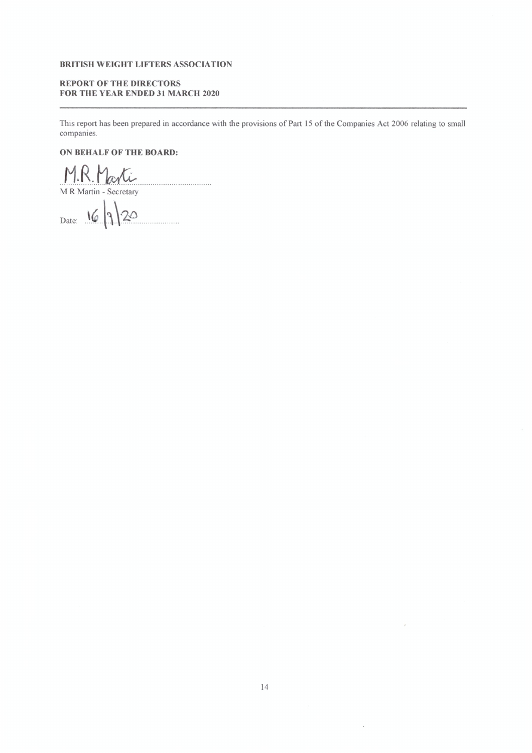## **REPORT OF THE DIRECTORS** FOR THE YEAR ENDED 31 MARCH 2020

This report has been prepared in accordance with the provisions of Part 15 of the Companies Act 2006 relating to small companies.

# ON BEHALF OF THE BOARD:

M.R. Martin<br>MR Martin - Secretary

Date: 16/9/20

 $\overline{\phantom{a}}$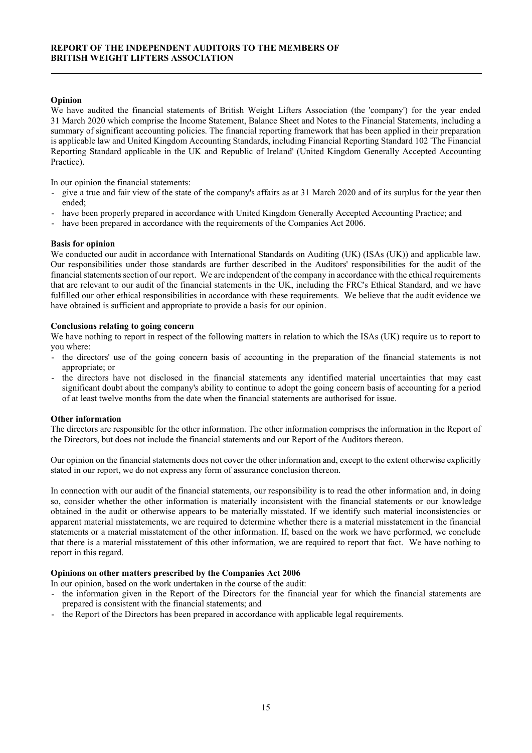# **Opinion**

We have audited the financial statements of British Weight Lifters Association (the 'company') for the year ended 31 March 2020 which comprise the Income Statement, Balance Sheet and Notes to the Financial Statements, including a summary of significant accounting policies. The financial reporting framework that has been applied in their preparation is applicable law and United Kingdom Accounting Standards, including Financial Reporting Standard 102 'The Financial Reporting Standard applicable in the UK and Republic of Ireland' (United Kingdom Generally Accepted Accounting Practice).

In our opinion the financial statements:

- give a true and fair view of the state of the company's affairs as at 31 March 2020 and of its surplus for the year then ended;
- have been properly prepared in accordance with United Kingdom Generally Accepted Accounting Practice; and
- have been prepared in accordance with the requirements of the Companies Act 2006.

## **Basis for opinion**

We conducted our audit in accordance with International Standards on Auditing (UK) (ISAs (UK)) and applicable law. Our responsibilities under those standards are further described in the Auditors' responsibilities for the audit of the financial statements section of our report. We are independent of the company in accordance with the ethical requirements that are relevant to our audit of the financial statements in the UK, including the FRC's Ethical Standard, and we have fulfilled our other ethical responsibilities in accordance with these requirements. We believe that the audit evidence we have obtained is sufficient and appropriate to provide a basis for our opinion.

### **Conclusions relating to going concern**

We have nothing to report in respect of the following matters in relation to which the ISAs (UK) require us to report to you where:

- the directors' use of the going concern basis of accounting in the preparation of the financial statements is not appropriate; or
- the directors have not disclosed in the financial statements any identified material uncertainties that may cast significant doubt about the company's ability to continue to adopt the going concern basis of accounting for a period of at least twelve months from the date when the financial statements are authorised for issue.

#### **Other information**

The directors are responsible for the other information. The other information comprises the information in the Report of the Directors, but does not include the financial statements and our Report of the Auditors thereon.

Our opinion on the financial statements does not cover the other information and, except to the extent otherwise explicitly stated in our report, we do not express any form of assurance conclusion thereon.

In connection with our audit of the financial statements, our responsibility is to read the other information and, in doing so, consider whether the other information is materially inconsistent with the financial statements or our knowledge obtained in the audit or otherwise appears to be materially misstated. If we identify such material inconsistencies or apparent material misstatements, we are required to determine whether there is a material misstatement in the financial statements or a material misstatement of the other information. If, based on the work we have performed, we conclude that there is a material misstatement of this other information, we are required to report that fact. We have nothing to report in this regard.

# **Opinions on other matters prescribed by the Companies Act 2006**

In our opinion, based on the work undertaken in the course of the audit:

- the information given in the Report of the Directors for the financial year for which the financial statements are prepared is consistent with the financial statements; and
- the Report of the Directors has been prepared in accordance with applicable legal requirements.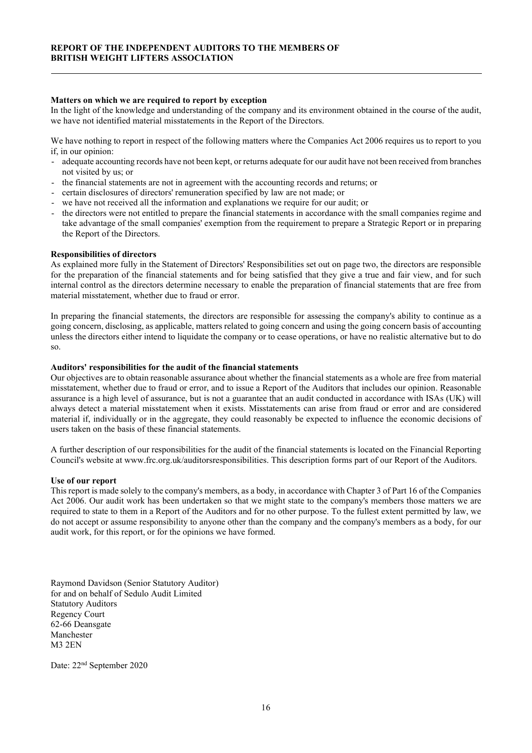### Matters on which we are required to report by exception

In the light of the knowledge and understanding of the company and its environment obtained in the course of the audit, we have not identified material misstatements in the Report of the Directors.

We have nothing to report in respect of the following matters where the Companies Act 2006 requires us to report to you if, in our opinion:

- adequate accounting records have not been kept, or returns adequate for our audit have not been received from branches not visited by us; or
- the financial statements are not in agreement with the accounting records and returns; or
- certain disclosures of directors' remuneration specified by law are not made; or
- we have not received all the information and explanations we require for our audit; or
- the directors were not entitled to prepare the financial statements in accordance with the small companies regime and take advantage of the small companies' exemption from the requirement to prepare a Strategic Report or in preparing the Report of the Directors.

### Responsibilities of directors

As explained more fully in the Statement of Directors' Responsibilities set out on page two, the directors are responsible for the preparation of the financial statements and for being satisfied that they give a true and fair view, and for such internal control as the directors determine necessary to enable the preparation of financial statements that are free from material misstatement, whether due to fraud or error.

In preparing the financial statements, the directors are responsible for assessing the company's ability to continue as a going concern, disclosing, as applicable, matters related to going concern and using the going concern basis of accounting unless the directors either intend to liquidate the company or to cease operations, or have no realistic alternative but to do so.

### Auditors' responsibilities for the audit of the financial statements

Our objectives are to obtain reasonable assurance about whether the financial statements as a whole are free from material misstatement, whether due to fraud or error, and to issue a Report of the Auditors that includes our opinion. Reasonable assurance is a high level of assurance, but is not a guarantee that an audit conducted in accordance with ISAs (UK) will always detect a material misstatement when it exists. Misstatements can arise from fraud or error and are considered material if, individually or in the aggregate, they could reasonably be expected to influence the economic decisions of users taken on the basis of these financial statements.

A further description of our responsibilities for the audit of the financial statements is located on the Financial Reporting Council's website at www.frc.org.uk/auditorsresponsibilities. This description forms part of our Report of the Auditors.

### Use of our report

This report is made solely to the company's members, as a body, in accordance with Chapter 3 of Part 16 of the Companies Act 2006. Our audit work has been undertaken so that we might state to the company's members those matters we are required to state to them in a Report of the Auditors and for no other purpose. To the fullest extent permitted by law, we do not accept or assume responsibility to anyone other than the company and the company's members as a body, for our audit work, for this report, or for the opinions we have formed.

Raymond Davidson (Senior Statutory Auditor) for and on behalf of Sedulo Audit Limited Statutory Auditors Regency Court 62-66 Deansgate Manchester M3 2EN

Date: 22nd September 2020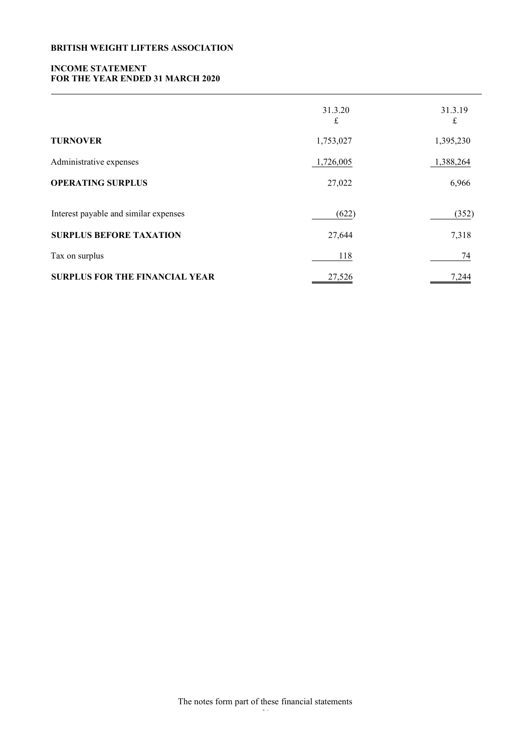# **INCOME STATEMENT FOR THE YEAR ENDED 31 MARCH 2020**

|                                       | 31.3.20<br>£ | 31.3.19<br>£ |
|---------------------------------------|--------------|--------------|
| <b>TURNOVER</b>                       | 1,753,027    | 1,395,230    |
| Administrative expenses               | 1,726,005    | 1,388,264    |
| <b>OPERATING SURPLUS</b>              | 27,022       | 6,966        |
| Interest payable and similar expenses | (622)        | (352)        |
| <b>SURPLUS BEFORE TAXATION</b>        | 27,644       | 7,318        |
| Tax on surplus                        | 118          | 74           |
| <b>SURPLUS FOR THE FINANCIAL YEAR</b> | 27,526       | 7,244        |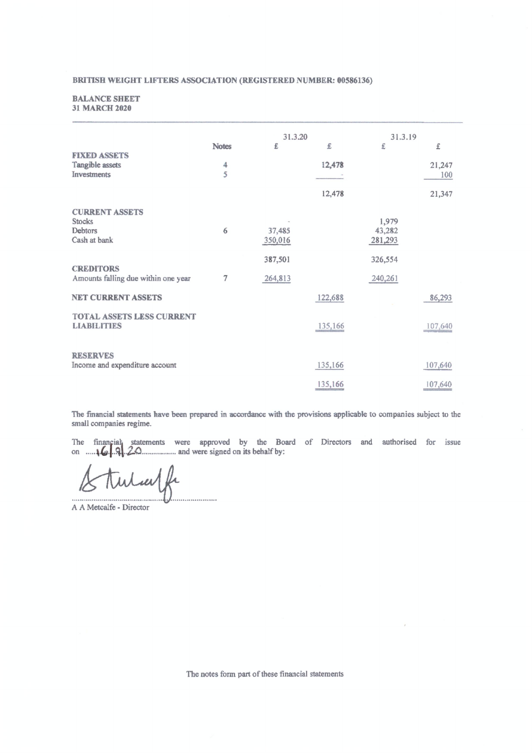#### **BRITISH WEIGHT LIFTERS ASSOCIATION (REGISTERED NUMBER: 00586136)**

#### **BALANCE SHEET 31 MARCH 2020**

|                                     |              | 31.3.20 |         | 31.3.19 |                              |
|-------------------------------------|--------------|---------|---------|---------|------------------------------|
|                                     | <b>Notes</b> | £       | £       | £       | £                            |
| <b>FIXED ASSETS</b>                 |              |         |         |         |                              |
| Tangible assets                     | 4            |         | 12,478  |         | 21,247                       |
| Investments                         | 5            |         |         |         | 100                          |
|                                     |              |         |         |         |                              |
|                                     |              |         | 12,478  |         | 21,347                       |
| <b>CURRENT ASSETS</b>               |              |         |         |         |                              |
| <b>Stocks</b>                       |              |         |         | 1,979   |                              |
| <b>Debtors</b>                      | 6            | 37,485  |         | 43,282  |                              |
| Cash at bank                        |              | 350,016 |         | 281,293 |                              |
|                                     |              |         |         |         |                              |
|                                     |              | 387,501 |         | 326,554 |                              |
| <b>CREDITORS</b>                    |              |         |         |         |                              |
| Amounts falling due within one year | 7            | 264,813 |         | 240,261 |                              |
|                                     |              |         |         |         |                              |
| <b>NET CURRENT ASSETS</b>           |              |         | 122,688 |         | 86,293                       |
|                                     |              |         |         |         |                              |
| TOTAL ASSETS LESS CURRENT           |              |         |         |         |                              |
| <b>LIABILITIES</b>                  |              |         |         |         |                              |
|                                     |              |         | 135,166 |         | 107,640                      |
|                                     |              |         |         |         |                              |
|                                     |              |         |         |         |                              |
| <b>RESERVES</b>                     |              |         |         |         |                              |
| Income and expenditure account      |              |         | 135,166 |         | 107,640                      |
|                                     |              |         |         |         |                              |
|                                     |              |         | 135,166 |         | 107,640<br><b>STATISTICS</b> |

The financial statements have been prepared in accordance with the provisions applicable to companies subject to the small companies regime.

The financial statements were approved by the Board of Directors and authorised for issue on .....  $\left(\frac{1}{2}, 0, \ldots, 1\right)$ .

Tulalfe .............. 

A A Metcalfe - Director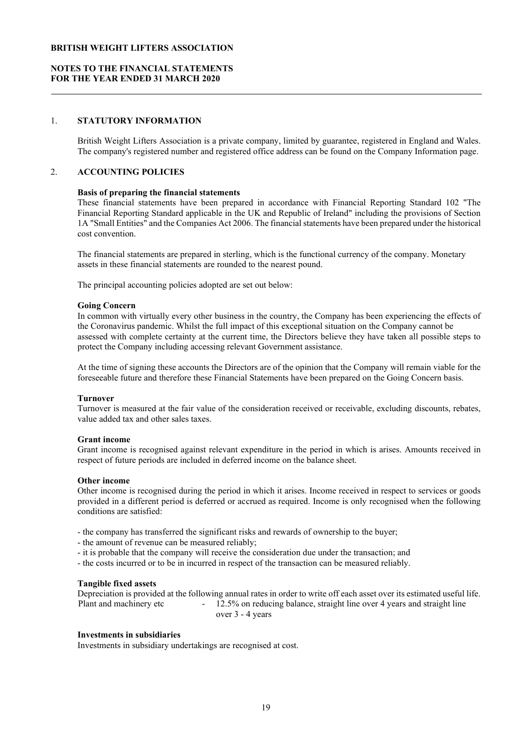# **NOTES TO THE FINANCIAL STATEMENTS FOR THE YEAR ENDED 31 MARCH 2020**

## 1. **STATUTORY INFORMATION**

British Weight Lifters Association is a private company, limited by guarantee, registered in England and Wales. The company's registered number and registered office address can be found on the Company Information page.

# 2. **ACCOUNTING POLICIES**

### **Basis of preparing the financial statements**

These financial statements have been prepared in accordance with Financial Reporting Standard 102 "The Financial Reporting Standard applicable in the UK and Republic of Ireland" including the provisions of Section 1A "Small Entities" and the Companies Act 2006. The financial statements have been prepared under the historical cost convention.

The financial statements are prepared in sterling, which is the functional currency of the company. Monetary assets in these financial statements are rounded to the nearest pound.

The principal accounting policies adopted are set out below:

#### **Going Concern**

In common with virtually every other business in the country, the Company has been experiencing the effects of the Coronavirus pandemic. Whilst the full impact of this exceptional situation on the Company cannot be assessed with complete certainty at the current time, the Directors believe they have taken all possible steps to protect the Company including accessing relevant Government assistance.

At the time of signing these accounts the Directors are of the opinion that the Company will remain viable for the foreseeable future and therefore these Financial Statements have been prepared on the Going Concern basis.

#### **Turnover**

Turnover is measured at the fair value of the consideration received or receivable, excluding discounts, rebates, value added tax and other sales taxes.

#### **Grant income**

Grant income is recognised against relevant expenditure in the period in which is arises. Amounts received in respect of future periods are included in deferred income on the balance sheet.

#### **Other income**

Other income is recognised during the period in which it arises. Income received in respect to services or goods provided in a different period is deferred or accrued as required. Income is only recognised when the following conditions are satisfied:

- the company has transferred the significant risks and rewards of ownership to the buyer;
- the amount of revenue can be measured reliably;
- it is probable that the company will receive the consideration due under the transaction; and
- the costs incurred or to be in incurred in respect of the transaction can be measured reliably.

#### **Tangible fixed assets**

Depreciation is provided at the following annual rates in order to write off each asset over its estimated useful life. Plant and machinery etc 12.5% on reducing balance, straight line over 4 years and straight line over 3 - 4 years

#### **Investments in subsidiaries**

Investments in subsidiary undertakings are recognised at cost.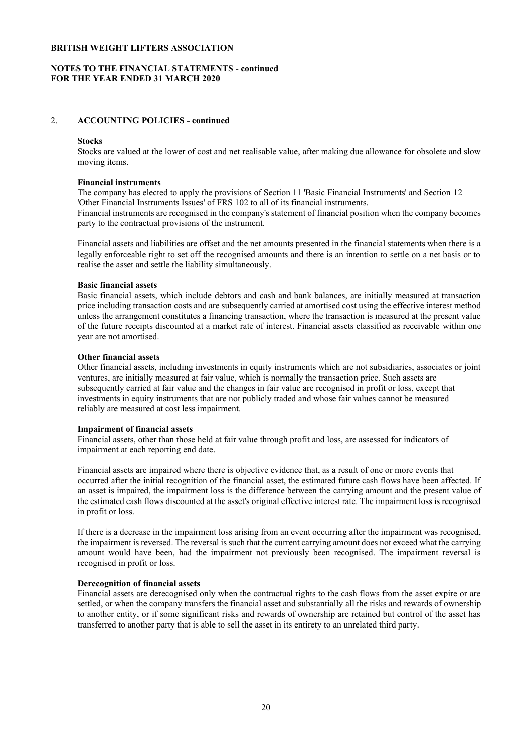# **NOTES TO THE FINANCIAL STATEMENTS - continued FOR THE YEAR ENDED 31 MARCH 2020**

## 2. **ACCOUNTING POLICIES - continued**

#### **Stocks**

Stocks are valued at the lower of cost and net realisable value, after making due allowance for obsolete and slow moving items.

#### **Financial instruments**

The company has elected to apply the provisions of Section 11 'Basic Financial Instruments' and Section 12 'Other Financial Instruments Issues' of FRS 102 to all of its financial instruments. Financial instruments are recognised in the company's statement of financial position when the company becomes party to the contractual provisions of the instrument.

Financial assets and liabilities are offset and the net amounts presented in the financial statements when there is a legally enforceable right to set off the recognised amounts and there is an intention to settle on a net basis or to realise the asset and settle the liability simultaneously.

#### **Basic financial assets**

Basic financial assets, which include debtors and cash and bank balances, are initially measured at transaction price including transaction costs and are subsequently carried at amortised cost using the effective interest method unless the arrangement constitutes a financing transaction, where the transaction is measured at the present value of the future receipts discounted at a market rate of interest. Financial assets classified as receivable within one year are not amortised.

## **Other financial assets**

Other financial assets, including investments in equity instruments which are not subsidiaries, associates or joint ventures, are initially measured at fair value, which is normally the transaction price. Such assets are subsequently carried at fair value and the changes in fair value are recognised in profit or loss, except that investments in equity instruments that are not publicly traded and whose fair values cannot be measured reliably are measured at cost less impairment.

#### **Impairment of financial assets**

Financial assets, other than those held at fair value through profit and loss, are assessed for indicators of impairment at each reporting end date.

Financial assets are impaired where there is objective evidence that, as a result of one or more events that occurred after the initial recognition of the financial asset, the estimated future cash flows have been affected. If an asset is impaired, the impairment loss is the difference between the carrying amount and the present value of the estimated cash flows discounted at the asset's original effective interest rate. The impairment loss is recognised in profit or loss.

If there is a decrease in the impairment loss arising from an event occurring after the impairment was recognised, the impairment is reversed. The reversal is such that the current carrying amount does not exceed what the carrying amount would have been, had the impairment not previously been recognised. The impairment reversal is recognised in profit or loss.

### **Derecognition of financial assets**

Financial assets are derecognised only when the contractual rights to the cash flows from the asset expire or are settled, or when the company transfers the financial asset and substantially all the risks and rewards of ownership to another entity, or if some significant risks and rewards of ownership are retained but control of the asset has transferred to another party that is able to sell the asset in its entirety to an unrelated third party.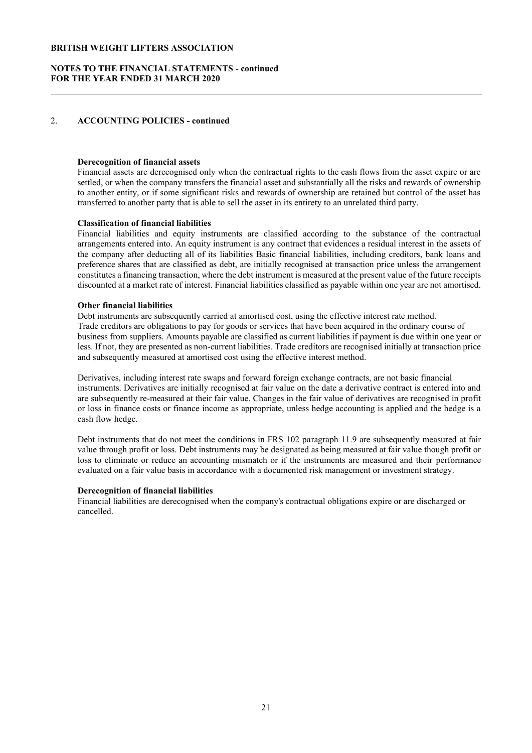# **NOTES TO THE FINANCIAL STATEMENTS - continued FOR THE YEAR ENDED 31 MARCH 2020**

# 2. **ACCOUNTING POLICIES - continued**

#### **Derecognition of financial assets**

Financial assets are derecognised only when the contractual rights to the cash flows from the asset expire or are settled, or when the company transfers the financial asset and substantially all the risks and rewards of ownership to another entity, or if some significant risks and rewards of ownership are retained but control of the asset has transferred to another party that is able to sell the asset in its entirety to an unrelated third party.

#### **Classification of financial liabilities**

Financial liabilities and equity instruments are classified according to the substance of the contractual arrangements entered into. An equity instrument is any contract that evidences a residual interest in the assets of the company after deducting all of its liabilities Basic financial liabilities, including creditors, bank loans and preference shares that are classified as debt, are initially recognised at transaction price unless the arrangement constitutes a financing transaction, where the debt instrument is measured at the present value of the future receipts discounted at a market rate of interest. Financial liabilities classified as payable within one year are not amortised.

#### **Other financial liabilities**

Debt instruments are subsequently carried at amortised cost, using the effective interest rate method. Trade creditors are obligations to pay for goods or services that have been acquired in the ordinary course of business from suppliers. Amounts payable are classified as current liabilities if payment is due within one year or less. If not, they are presented as non-current liabilities. Trade creditors are recognised initially at transaction price and subsequently measured at amortised cost using the effective interest method.

Derivatives, including interest rate swaps and forward foreign exchange contracts, are not basic financial instruments. Derivatives are initially recognised at fair value on the date a derivative contract is entered into and are subsequently re-measured at their fair value. Changes in the fair value of derivatives are recognised in profit or loss in finance costs or finance income as appropriate, unless hedge accounting is applied and the hedge is a cash flow hedge.

Debt instruments that do not meet the conditions in FRS 102 paragraph 11.9 are subsequently measured at fair value through profit or loss. Debt instruments may be designated as being measured at fair value though profit or loss to eliminate or reduce an accounting mismatch or if the instruments are measured and their performance evaluated on a fair value basis in accordance with a documented risk management or investment strategy.

#### **Derecognition of financial liabilities**

Financial liabilities are derecognised when the company's contractual obligations expire or are discharged or cancelled.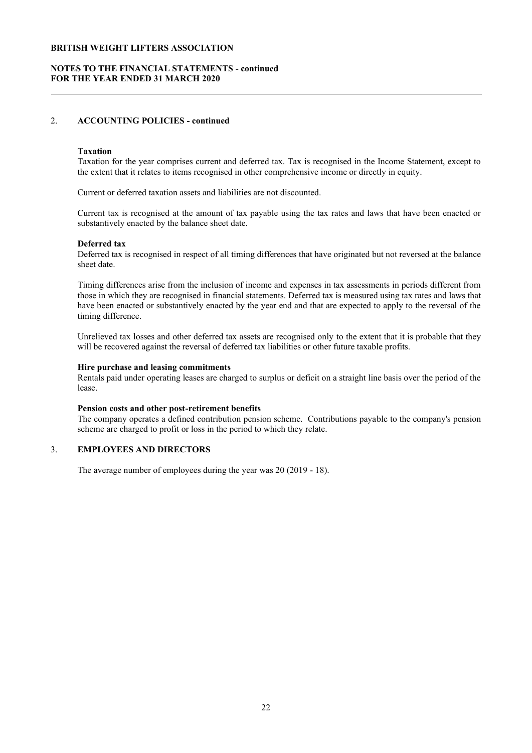# **NOTES TO THE FINANCIAL STATEMENTS - continued FOR THE YEAR ENDED 31 MARCH 2020**

# 2. **ACCOUNTING POLICIES - continued**

## **Taxation**

Taxation for the year comprises current and deferred tax. Tax is recognised in the Income Statement, except to the extent that it relates to items recognised in other comprehensive income or directly in equity.

Current or deferred taxation assets and liabilities are not discounted.

Current tax is recognised at the amount of tax payable using the tax rates and laws that have been enacted or substantively enacted by the balance sheet date.

#### **Deferred tax**

Deferred tax is recognised in respect of all timing differences that have originated but not reversed at the balance sheet date.

Timing differences arise from the inclusion of income and expenses in tax assessments in periods different from those in which they are recognised in financial statements. Deferred tax is measured using tax rates and laws that have been enacted or substantively enacted by the year end and that are expected to apply to the reversal of the timing difference.

Unrelieved tax losses and other deferred tax assets are recognised only to the extent that it is probable that they will be recovered against the reversal of deferred tax liabilities or other future taxable profits.

#### **Hire purchase and leasing commitments**

Rentals paid under operating leases are charged to surplus or deficit on a straight line basis over the period of the lease.

#### **Pension costs and other post-retirement benefits**

The company operates a defined contribution pension scheme. Contributions payable to the company's pension scheme are charged to profit or loss in the period to which they relate.

### 3. **EMPLOYEES AND DIRECTORS**

The average number of employees during the year was 20 (2019 - 18).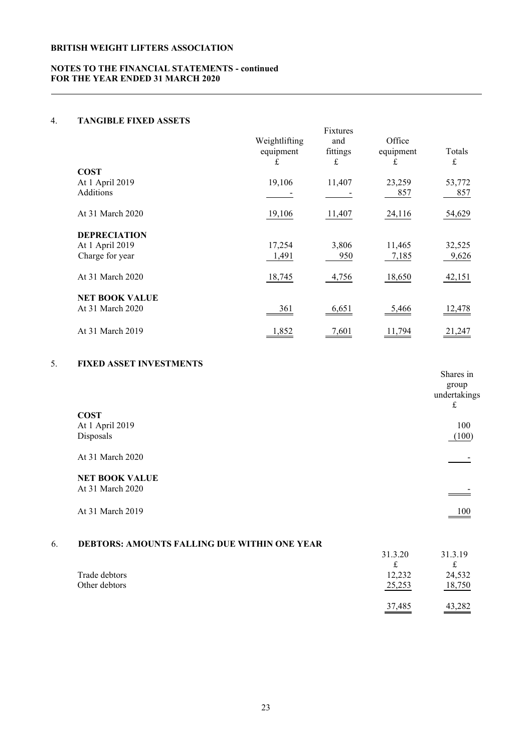# **NOTES TO THE FINANCIAL STATEMENTS - continued FOR THE YEAR ENDED 31 MARCH 2020**

# 4. **TANGIBLE FIXED ASSETS**

|                       |                                 | Fixtures             |                          |             |
|-----------------------|---------------------------------|----------------------|--------------------------|-------------|
|                       | Weightlifting<br>equipment<br>£ | and<br>fittings<br>£ | Office<br>equipment<br>£ | Totals<br>£ |
| <b>COST</b>           |                                 |                      |                          |             |
| At 1 April 2019       | 19,106                          | 11,407               | 23,259                   | 53,772      |
| <b>Additions</b>      |                                 |                      | 857                      | 857         |
| At 31 March 2020      | 19,106                          | 11,407               | 24,116                   | 54,629      |
| <b>DEPRECIATION</b>   |                                 |                      |                          |             |
| At 1 April 2019       | 17,254                          | 3,806                | 11,465                   | 32,525      |
| Charge for year       | 1,491                           | 950                  | 7,185                    | 9,626       |
| At 31 March 2020      | 18,745                          | 4,756                | 18,650                   | 42,151      |
| <b>NET BOOK VALUE</b> |                                 |                      |                          |             |
| At 31 March 2020      | 361                             | 6,651                | 5,466                    | 12,478      |
| At 31 March 2019      | 1,852                           | 7,601                | 11,794                   | 21,247      |

# 5. **FIXED ASSET INVESTMENTS**

|    |                                              |         | Shares in<br>group<br>undertakings<br>£ |
|----|----------------------------------------------|---------|-----------------------------------------|
|    | <b>COST</b>                                  |         |                                         |
|    | At 1 April 2019                              |         | 100                                     |
|    | Disposals                                    |         | (100)                                   |
|    | At 31 March 2020                             |         |                                         |
|    | <b>NET BOOK VALUE</b>                        |         |                                         |
|    | At 31 March 2020                             |         |                                         |
|    | At 31 March 2019                             |         | 100                                     |
| 6. | DEBTORS: AMOUNTS FALLING DUE WITHIN ONE YEAR |         |                                         |
|    |                                              | 31.3.20 | 31.3.19                                 |

|               | - - - - - - - - | - - - - - - - |
|---------------|-----------------|---------------|
| Trade debtors | 12,232          | 24,532        |
| Other debtors | 25,253          | 18,750        |
|               | 37,485          | 43,282        |